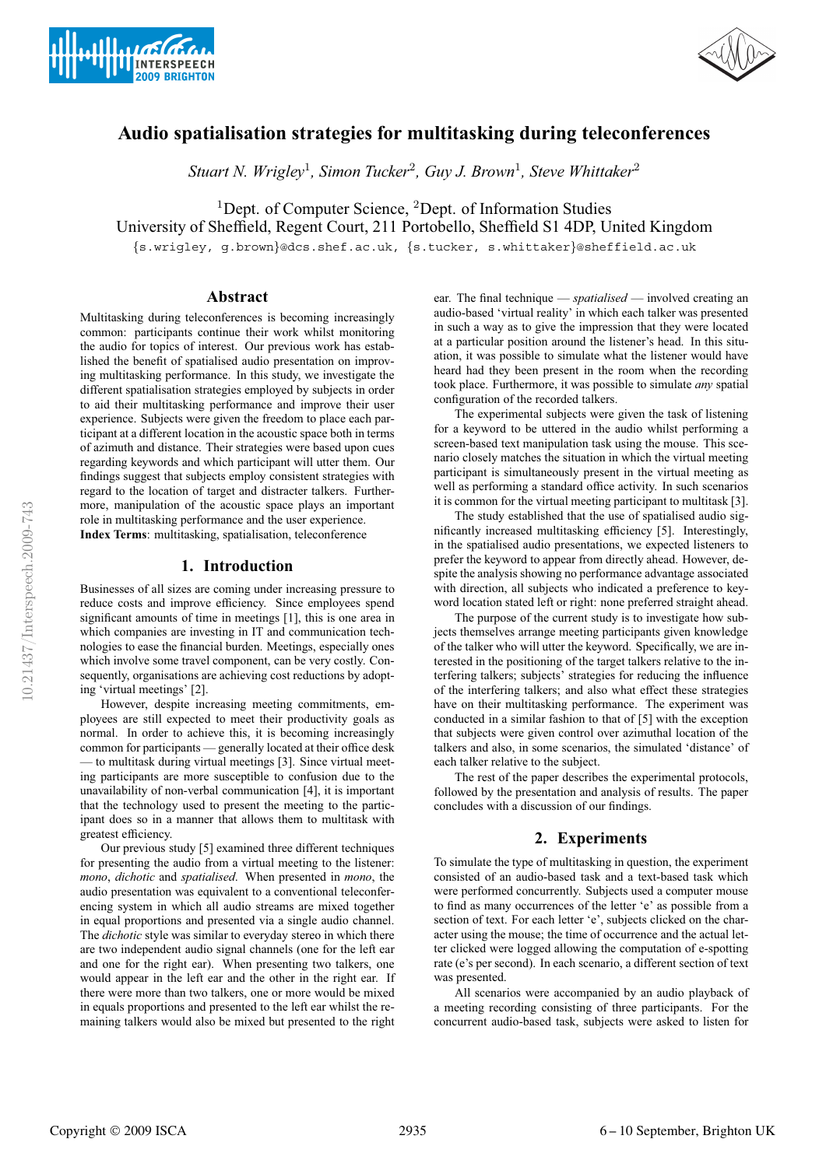



# **Audio spatialisation strategies for multitasking during teleconferences**

*Stuart N. Wrigley*<sup>1</sup>*, Simon Tucker*<sup>2</sup>*, Guy J. Brown*<sup>1</sup>*, Steve Whittaker*<sup>2</sup>

<sup>1</sup>Dept. of Computer Science, <sup>2</sup>Dept. of Information Studies

University of Sheffield, Regent Court, 211 Portobello, Sheffield S1 4DP, United Kingdom

{s.wrigley, g.brown}@dcs.shef.ac.uk, {s.tucker, s.whittaker}@sheffield.ac.uk

# **Abstract**

Multitasking during teleconferences is becoming increasingly common: participants continue their work whilst monitoring the audio for topics of interest. Our previous work has established the benefit of spatialised audio presentation on improving multitasking performance. In this study, we investigate the different spatialisation strategies employed by subjects in order to aid their multitasking performance and improve their user experience. Subjects were given the freedom to place each participant at a different location in the acoustic space both in terms of azimuth and distance. Their strategies were based upon cues regarding keywords and which participant will utter them. Our findings suggest that subjects employ consistent strategies with regard to the location of target and distracter talkers. Furthermore, manipulation of the acoustic space plays an important role in multitasking performance and the user experience. **Index Terms**: multitasking, spatialisation, teleconference

# **1. Introduction**

Businesses of all sizes are coming under increasing pressure to reduce costs and improve efficiency. Since employees spend significant amounts of time in meetings [1], this is one area in which companies are investing in IT and communication technologies to ease the financial burden. Meetings, especially ones which involve some travel component, can be very costly. Consequently, organisations are achieving cost reductions by adopting 'virtual meetings' [2].

However, despite increasing meeting commitments, employees are still expected to meet their productivity goals as normal. In order to achieve this, it is becoming increasingly common for participants — generally located at their office desk — to multitask during virtual meetings [3]. Since virtual meeting participants are more susceptible to confusion due to the unavailability of non-verbal communication [4], it is important that the technology used to present the meeting to the participant does so in a manner that allows them to multitask with greatest efficiency.

Our previous study [5] examined three different techniques for presenting the audio from a virtual meeting to the listener: *mono*, *dichotic* and *spatialised*. When presented in *mono*, the audio presentation was equivalent to a conventional teleconferencing system in which all audio streams are mixed together in equal proportions and presented via a single audio channel. The *dichotic* style was similar to everyday stereo in which there are two independent audio signal channels (one for the left ear and one for the right ear). When presenting two talkers, one would appear in the left ear and the other in the right ear. If there were more than two talkers, one or more would be mixed in equals proportions and presented to the left ear whilst the remaining talkers would also be mixed but presented to the right ear. The final technique — *spatialised* — involved creating an audio-based 'virtual reality' in which each talker was presented in such a way as to give the impression that they were located at a particular position around the listener's head. In this situation, it was possible to simulate what the listener would have heard had they been present in the room when the recording took place. Furthermore, it was possible to simulate *any* spatial configuration of the recorded talkers.

The experimental subjects were given the task of listening for a keyword to be uttered in the audio whilst performing a screen-based text manipulation task using the mouse. This scenario closely matches the situation in which the virtual meeting participant is simultaneously present in the virtual meeting as well as performing a standard office activity. In such scenarios it is common for the virtual meeting participant to multitask [3].

The study established that the use of spatialised audio significantly increased multitasking efficiency [5]. Interestingly, in the spatialised audio presentations, we expected listeners to prefer the keyword to appear from directly ahead. However, despite the analysis showing no performance advantage associated with direction, all subjects who indicated a preference to keyword location stated left or right: none preferred straight ahead.

The purpose of the current study is to investigate how subjects themselves arrange meeting participants given knowledge of the talker who will utter the keyword. Specifically, we are interested in the positioning of the target talkers relative to the interfering talkers; subjects' strategies for reducing the influence of the interfering talkers; and also what effect these strategies have on their multitasking performance. The experiment was conducted in a similar fashion to that of [5] with the exception that subjects were given control over azimuthal location of the talkers and also, in some scenarios, the simulated 'distance' of each talker relative to the subject.

The rest of the paper describes the experimental protocols, followed by the presentation and analysis of results. The paper concludes with a discussion of our findings.

# **2. Experiments**

To simulate the type of multitasking in question, the experiment consisted of an audio-based task and a text-based task which were performed concurrently. Subjects used a computer mouse to find as many occurrences of the letter 'e' as possible from a section of text. For each letter 'e', subjects clicked on the character using the mouse; the time of occurrence and the actual letter clicked were logged allowing the computation of e-spotting rate (e's per second). In each scenario, a different section of text was presented.

All scenarios were accompanied by an audio playback of a meeting recording consisting of three participants. For the concurrent audio-based task, subjects were asked to listen for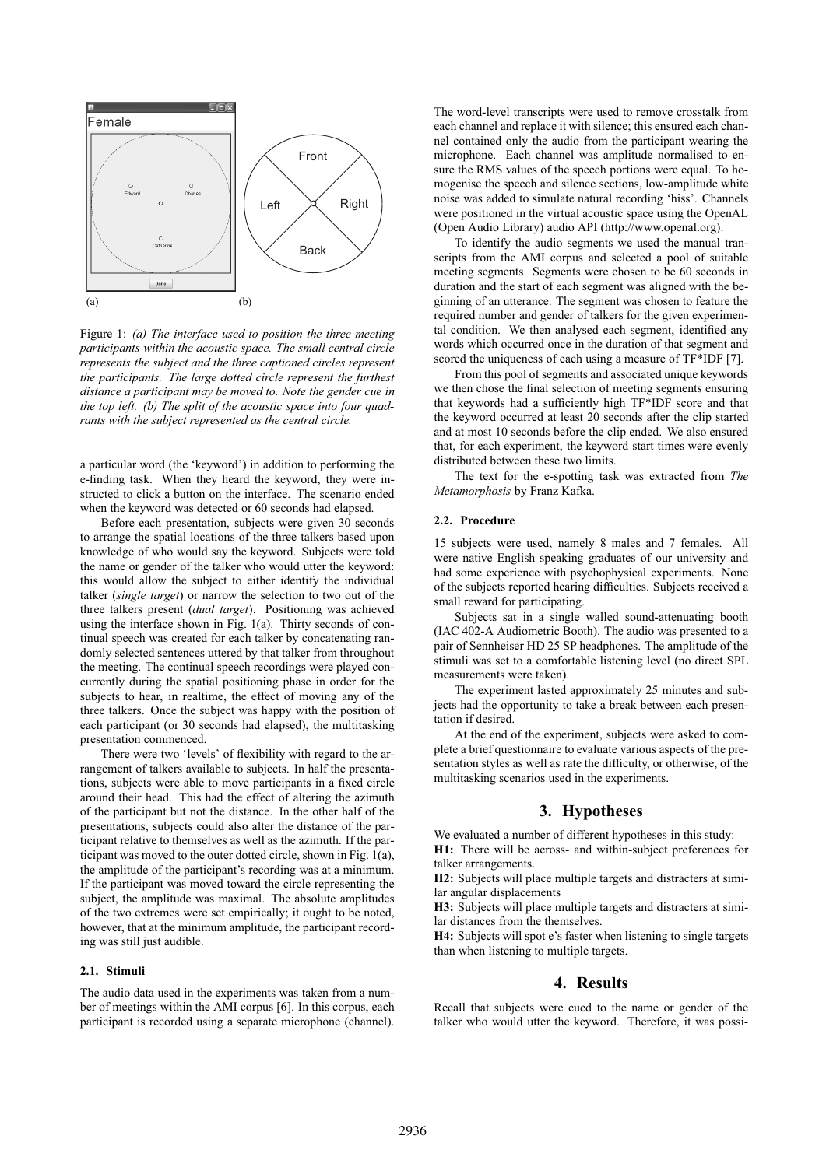

Figure 1: *(a) The interface used to position the three meeting participants within the acoustic space. The small central circle represents the subject and the three captioned circles represent the participants. The large dotted circle represent the furthest distance a participant may be moved to. Note the gender cue in the top left. (b) The split of the acoustic space into four quadrants with the subject represented as the central circle.*

a particular word (the 'keyword') in addition to performing the e-finding task. When they heard the keyword, they were instructed to click a button on the interface. The scenario ended when the keyword was detected or 60 seconds had elapsed.

Before each presentation, subjects were given 30 seconds to arrange the spatial locations of the three talkers based upon knowledge of who would say the keyword. Subjects were told the name or gender of the talker who would utter the keyword: this would allow the subject to either identify the individual talker (*single target*) or narrow the selection to two out of the three talkers present (*dual target*). Positioning was achieved using the interface shown in Fig. 1(a). Thirty seconds of continual speech was created for each talker by concatenating randomly selected sentences uttered by that talker from throughout the meeting. The continual speech recordings were played concurrently during the spatial positioning phase in order for the subjects to hear, in realtime, the effect of moving any of the three talkers. Once the subject was happy with the position of each participant (or 30 seconds had elapsed), the multitasking presentation commenced.

There were two 'levels' of flexibility with regard to the arrangement of talkers available to subjects. In half the presentations, subjects were able to move participants in a fixed circle around their head. This had the effect of altering the azimuth of the participant but not the distance. In the other half of the presentations, subjects could also alter the distance of the participant relative to themselves as well as the azimuth. If the participant was moved to the outer dotted circle, shown in Fig. 1(a), the amplitude of the participant's recording was at a minimum. If the participant was moved toward the circle representing the subject, the amplitude was maximal. The absolute amplitudes of the two extremes were set empirically; it ought to be noted, however, that at the minimum amplitude, the participant recording was still just audible.

# **2.1. Stimuli**

The audio data used in the experiments was taken from a number of meetings within the AMI corpus [6]. In this corpus, each participant is recorded using a separate microphone (channel). The word-level transcripts were used to remove crosstalk from each channel and replace it with silence; this ensured each channel contained only the audio from the participant wearing the microphone. Each channel was amplitude normalised to ensure the RMS values of the speech portions were equal. To homogenise the speech and silence sections, low-amplitude white noise was added to simulate natural recording 'hiss'. Channels were positioned in the virtual acoustic space using the OpenAL (Open Audio Library) audio API (http://www.openal.org).

To identify the audio segments we used the manual transcripts from the AMI corpus and selected a pool of suitable meeting segments. Segments were chosen to be 60 seconds in duration and the start of each segment was aligned with the beginning of an utterance. The segment was chosen to feature the required number and gender of talkers for the given experimental condition. We then analysed each segment, identified any words which occurred once in the duration of that segment and scored the uniqueness of each using a measure of TF\*IDF [7].

From this pool of segments and associated unique keywords we then chose the final selection of meeting segments ensuring that keywords had a sufficiently high TF\*IDF score and that the keyword occurred at least 20 seconds after the clip started and at most 10 seconds before the clip ended. We also ensured that, for each experiment, the keyword start times were evenly distributed between these two limits.

The text for the e-spotting task was extracted from *The Metamorphosis* by Franz Kafka.

#### **2.2. Procedure**

15 subjects were used, namely 8 males and 7 females. All were native English speaking graduates of our university and had some experience with psychophysical experiments. None of the subjects reported hearing difficulties. Subjects received a small reward for participating.

Subjects sat in a single walled sound-attenuating booth (IAC 402-A Audiometric Booth). The audio was presented to a pair of Sennheiser HD 25 SP headphones. The amplitude of the stimuli was set to a comfortable listening level (no direct SPL measurements were taken).

The experiment lasted approximately 25 minutes and subjects had the opportunity to take a break between each presentation if desired.

At the end of the experiment, subjects were asked to complete a brief questionnaire to evaluate various aspects of the presentation styles as well as rate the difficulty, or otherwise, of the multitasking scenarios used in the experiments.

# **3. Hypotheses**

We evaluated a number of different hypotheses in this study:

**H1:** There will be across- and within-subject preferences for talker arrangements.

**H2:** Subjects will place multiple targets and distracters at similar angular displacements

**H3:** Subjects will place multiple targets and distracters at similar distances from the themselves.

**H4:** Subjects will spot e's faster when listening to single targets than when listening to multiple targets.

# **4. Results**

Recall that subjects were cued to the name or gender of the talker who would utter the keyword. Therefore, it was possi-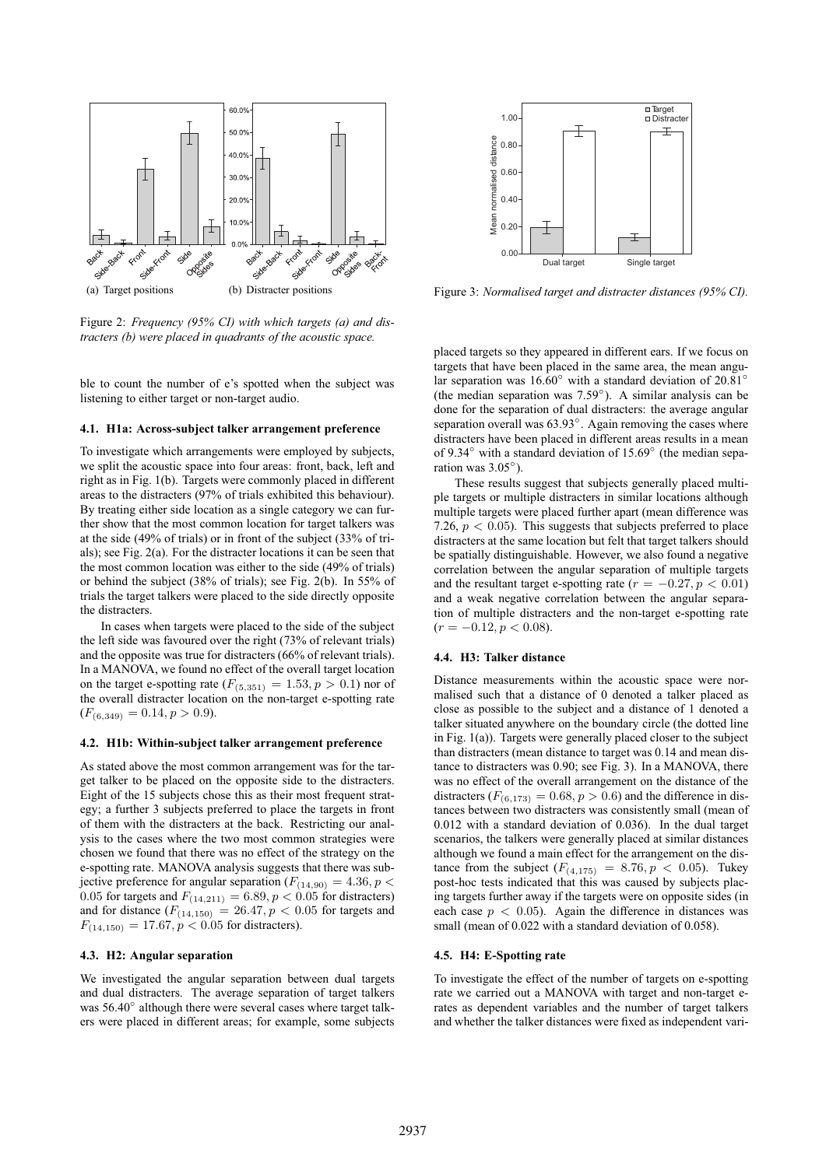

Figure 2: *Frequency (95% CI) with which targets (a) and distracters (b) were placed in quadrants of the acoustic space.*

ble to count the number of e's spotted when the subject was listening to either target or non-target audio.

#### **4.1. H1a: Across-subject talker arrangement preference**

To investigate which arrangements were employed by subjects, we split the acoustic space into four areas: front, back, left and right as in Fig. 1(b). Targets were commonly placed in different areas to the distracters (97% of trials exhibited this behaviour). By treating either side location as a single category we can further show that the most common location for target talkers was at the side (49% of trials) or in front of the subject (33% of trials); see Fig. 2(a). For the distracter locations it can be seen that the most common location was either to the side (49% of trials) or behind the subject (38% of trials); see Fig. 2(b). In 55% of trials the target talkers were placed to the side directly opposite the distracters.

In cases when targets were placed to the side of the subject the left side was favoured over the right (73% of relevant trials) and the opposite was true for distracters (66% of relevant trials). In a MANOVA, we found no effect of the overall target location on the target e-spotting rate  $(F_{(5,351)} = 1.53, p > 0.1)$  nor of the overall distracter location on the non-target e-spotting rate  $(F_{(6,349)} = 0.14, p > 0.9).$ 

#### **4.2. H1b: Within-subject talker arrangement preference**

As stated above the most common arrangement was for the target talker to be placed on the opposite side to the distracters. Eight of the 15 subjects chose this as their most frequent strategy; a further 3 subjects preferred to place the targets in front of them with the distracters at the back. Restricting our analysis to the cases where the two most common strategies were chosen we found that there was no effect of the strategy on the e-spotting rate. MANOVA analysis suggests that there was subjective preference for angular separation ( $F_{(14,90)} = 4.36, p <$ 0.05 for targets and  $F_{(14,211)} = 6.89, p < 0.05$  for distracters) and for distance  $(F_{(14,150)} = 26.47, p < 0.05$  for targets and  $F_{(14,150)} = 17.67, p < 0.05$  for distracters).

#### **4.3. H2: Angular separation**

We investigated the angular separation between dual targets and dual distracters. The average separation of target talkers was 56.40° although there were several cases where target talkers were placed in different areas; for example, some subjects



Figure 3: *Normalised target and distracter distances (95% CI).*

placed targets so they appeared in different ears. If we focus on targets that have been placed in the same area, the mean angular separation was 16.60◦ with a standard deviation of 20.81◦ (the median separation was 7.59◦). A similar analysis can be done for the separation of dual distracters: the average angular separation overall was 63.93<sup>°</sup>. Again removing the cases where distracters have been placed in different areas results in a mean of 9.34◦ with a standard deviation of 15.69◦ (the median separation was 3.05◦).

These results suggest that subjects generally placed multiple targets or multiple distracters in similar locations although multiple targets were placed further apart (mean difference was 7.26,  $p < 0.05$ ). This suggests that subjects preferred to place distracters at the same location but felt that target talkers should be spatially distinguishable. However, we also found a negative correlation between the angular separation of multiple targets and the resultant target e-spotting rate ( $r = -0.27, p < 0.01$ ) and a weak negative correlation between the angular separation of multiple distracters and the non-target e-spotting rate  $(r = -0.12, p < 0.08).$ 

#### **4.4. H3: Talker distance**

Distance measurements within the acoustic space were normalised such that a distance of 0 denoted a talker placed as close as possible to the subject and a distance of 1 denoted a talker situated anywhere on the boundary circle (the dotted line in Fig. 1(a)). Targets were generally placed closer to the subject than distracters (mean distance to target was 0.14 and mean distance to distracters was 0.90; see Fig. 3). In a MANOVA, there was no effect of the overall arrangement on the distance of the distracters  $(F_{(6,173)} = 0.68, p > 0.6)$  and the difference in distances between two distracters was consistently small (mean of 0.012 with a standard deviation of 0.036). In the dual target scenarios, the talkers were generally placed at similar distances although we found a main effect for the arrangement on the distance from the subject  $(F_{(4,175)} = 8.76, p < 0.05)$ . Tukey post-hoc tests indicated that this was caused by subjects placing targets further away if the targets were on opposite sides (in each case  $p < 0.05$ ). Again the difference in distances was small (mean of 0.022 with a standard deviation of 0.058).

#### **4.5. H4: E-Spotting rate**

To investigate the effect of the number of targets on e-spotting rate we carried out a MANOVA with target and non-target erates as dependent variables and the number of target talkers and whether the talker distances were fixed as independent vari-